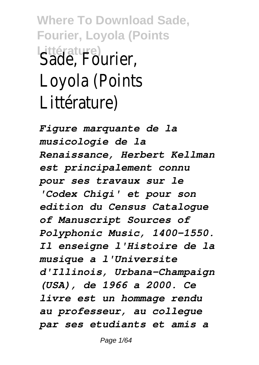**Where To Download Sade, Fourier, Loyola (Points Littérature)** Sade, Fourier, Loyola (Points Littérature)

*Figure marquante de la musicologie de la Renaissance, Herbert Kellman est principalement connu pour ses travaux sur le 'Codex Chigi' et pour son edition du Census Catalogue of Manuscript Sources of Polyphonic Music, 1400-1550. Il enseigne l'Histoire de la musique a l'Universite d'Illinois, Urbana-Champaign (USA), de 1966 a 2000. Ce livre est un hommage rendu au professeur, au collegue par ses etudiants et amis a*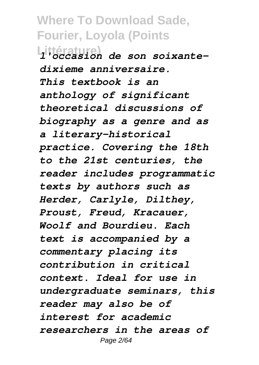**Littérature)** *l'occasion de son soixantedixieme anniversaire. This textbook is an anthology of significant theoretical discussions of biography as a genre and as a literary-historical practice. Covering the 18th to the 21st centuries, the reader includes programmatic texts by authors such as Herder, Carlyle, Dilthey, Proust, Freud, Kracauer, Woolf and Bourdieu. Each text is accompanied by a commentary placing its contribution in critical context. Ideal for use in undergraduate seminars, this reader may also be of interest for academic researchers in the areas of* Page 2/64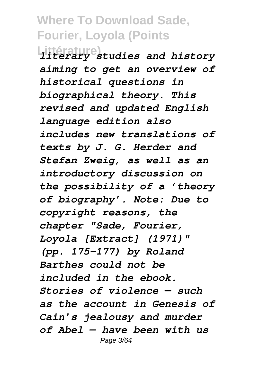**Littérature)** *literary studies and history aiming to get an overview of historical questions in biographical theory. This revised and updated English language edition also includes new translations of texts by J. G. Herder and Stefan Zweig, as well as an introductory discussion on the possibility of a 'theory of biography'. Note: Due to copyright reasons, the chapter "Sade, Fourier, Loyola [Extract] (1971)" (pp. 175–177) by Roland Barthes could not be included in the ebook. Stories of violence — such as the account in Genesis of Cain's jealousy and murder of Abel — have been with us* Page 3/64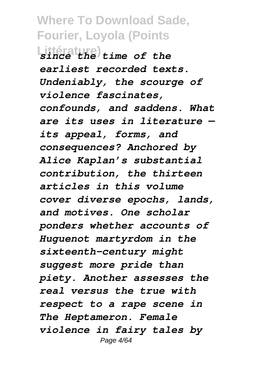**Littérature)** *since the time of the earliest recorded texts. Undeniably, the scourge of violence fascinates, confounds, and saddens. What are its uses in literature its appeal, forms, and consequences? Anchored by Alice Kaplan's substantial contribution, the thirteen articles in this volume cover diverse epochs, lands, and motives. One scholar ponders whether accounts of Huguenot martyrdom in the sixteenth-century might suggest more pride than piety. Another assesses the real versus the true with respect to a rape scene in The Heptameron. Female violence in fairy tales by* Page 4/64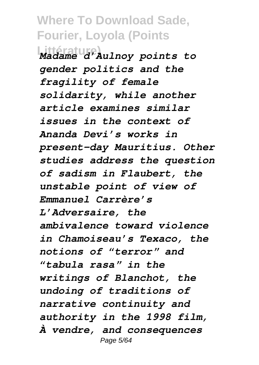**Littérature)** *Madame d'Aulnoy points to gender politics and the fragility of female solidarity, while another article examines similar issues in the context of Ananda Devi's works in present-day Mauritius. Other studies address the question of sadism in Flaubert, the unstable point of view of Emmanuel Carrère's L'Adversaire, the ambivalence toward violence in Chamoiseau's Texaco, the notions of "terror" and "tabula rasa" in the writings of Blanchot, the undoing of traditions of narrative continuity and authority in the 1998 film, À vendre, and consequences* Page 5/64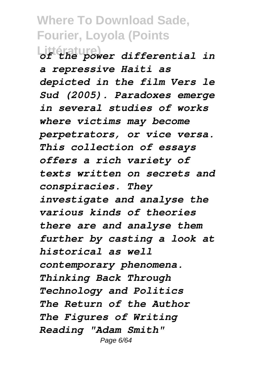**Littérature)** *of the power differential in a repressive Haiti as depicted in the film Vers le Sud (2005). Paradoxes emerge in several studies of works where victims may become perpetrators, or vice versa. This collection of essays offers a rich variety of texts written on secrets and conspiracies. They investigate and analyse the various kinds of theories there are and analyse them further by casting a look at historical as well contemporary phenomena. Thinking Back Through Technology and Politics The Return of the Author The Figures of Writing Reading "Adam Smith"* Page 6/64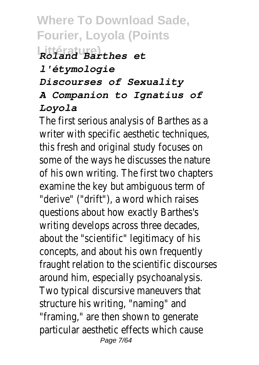# **Littérature)** *Roland Barthes et*

#### *l'étymologie*

*Discourses of Sexuality*

#### *A Companion to Ignatius of Loyola*

The first serious analysis of Barthes as a writer with specific aesthetic techniques, this fresh and original study focuses on some of the ways he discusses the nature of his own writing. The first two chapters examine the key but ambiguous term of "derive" ("drift"), a word which raises questions about how exactly Barthes's writing develops across three decades, about the "scientific" legitimacy of his concepts, and about his own frequently fraught relation to the scientific discourses around him, especially psychoanalysis. Two typical discursive maneuvers that structure his writing, "naming" and "framing," are then shown to generate particular aesthetic effects which cause Page 7/64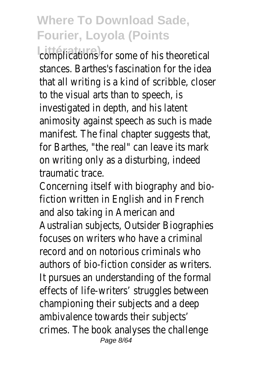complications for some of his theoretical stances. Barthes's fascination for the idea that all writing is a kind of scribble, closer to the visual arts than to speech, is investigated in depth, and his latent animosity against speech as such is made manifest. The final chapter suggests that, for Barthes, "the real" can leave its mark on writing only as a disturbing, indeed traumatic trace.

Concerning itself with biography and biofiction written in English and in French and also taking in American and Australian subjects, Outsider Biographies focuses on writers who have a criminal record and on notorious criminals who authors of bio-fiction consider as writers. It pursues an understanding of the formal effects of life-writers' struggles between championing their subjects and a deep ambivalence towards their subjects' crimes. The book analyses the challenge Page 8/64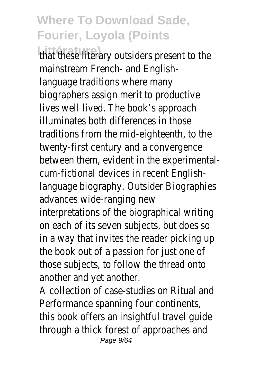**Littérature)** that these literary outsiders present to the mainstream French- and Englishlanguage traditions where many biographers assign merit to productive lives well lived. The book's approach illuminates both differences in those traditions from the mid-eighteenth, to the twenty-first century and a convergence between them, evident in the experimentalcum-fictional devices in recent Englishlanguage biography. Outsider Biographies advances wide-ranging new

interpretations of the biographical writing on each of its seven subjects, but does so in a way that invites the reader picking up the book out of a passion for just one of those subjects, to follow the thread onto another and yet another.

A collection of case-studies on Ritual and Performance spanning four continents, this book offers an insightful travel guide through a thick forest of approaches and Page 9/64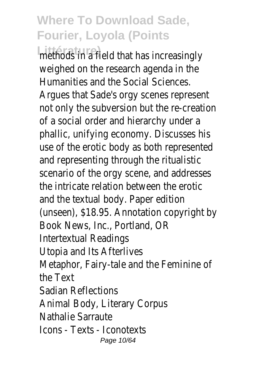**Littérature**) field that has increasingly weighed on the research agenda in the Humanities and the Social Sciences. Argues that Sade's orgy scenes represent not only the subversion but the re-creation of a social order and hierarchy under a phallic, unifying economy. Discusses his use of the erotic body as both represented and representing through the ritualistic scenario of the orgy scene, and addresses the intricate relation between the erotic and the textual body. Paper edition (unseen), \$18.95. Annotation copyright by Book News, Inc., Portland, OR Intertextual Readings Utopia and Its Afterlives Metaphor, Fairy-tale and the Feminine of the Text Sadian Reflections Animal Body, Literary Corpus Nathalie Sarraute Icons - Texts - Iconotexts Page 10/64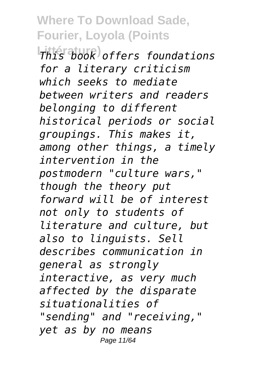**Littérature)** *This book offers foundations for a literary criticism which seeks to mediate between writers and readers belonging to different historical periods or social groupings. This makes it, among other things, a timely intervention in the postmodern "culture wars," though the theory put forward will be of interest not only to students of literature and culture, but also to linguists. Sell describes communication in general as strongly interactive, as very much affected by the disparate situationalities of "sending" and "receiving," yet as by no means* Page 11/64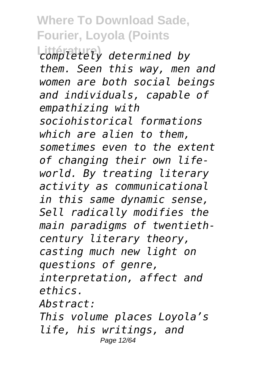**Littérature)** *completely determined by them. Seen this way, men and women are both social beings and individuals, capable of empathizing with sociohistorical formations which are alien to them, sometimes even to the extent of changing their own lifeworld. By treating literary activity as communicational in this same dynamic sense, Sell radically modifies the main paradigms of twentiethcentury literary theory, casting much new light on questions of genre, interpretation, affect and ethics. Abstract: This volume places Loyola's life, his writings, and*

Page 12/64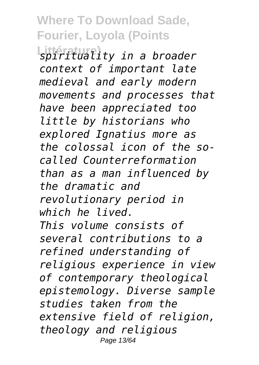**Littérature)** *spirituality in a broader context of important late medieval and early modern movements and processes that have been appreciated too little by historians who explored Ignatius more as the colossal icon of the socalled Counterreformation than as a man influenced by the dramatic and revolutionary period in which he lived. This volume consists of several contributions to a refined understanding of religious experience in view of contemporary theological epistemology. Diverse sample studies taken from the extensive field of religion, theology and religious* Page 13/64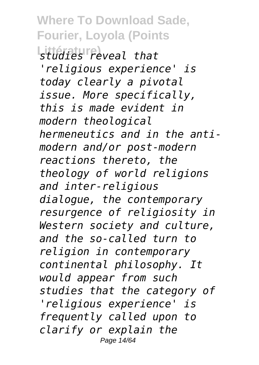**Where To Download Sade, Fourier, Loyola (Points Littérature)** *studies reveal that 'religious experience' is today clearly a pivotal*

*issue. More specifically, this is made evident in modern theological hermeneutics and in the antimodern and/or post-modern reactions thereto, the theology of world religions and inter-religious dialogue, the contemporary resurgence of religiosity in Western society and culture, and the so-called turn to religion in contemporary continental philosophy. It would appear from such studies that the category of 'religious experience' is frequently called upon to clarify or explain the* Page 14/64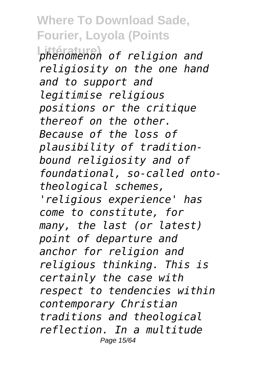**Littérature)** *phenomenon of religion and religiosity on the one hand and to support and legitimise religious positions or the critique thereof on the other. Because of the loss of plausibility of traditionbound religiosity and of foundational, so-called ontotheological schemes, 'religious experience' has come to constitute, for many, the last (or latest) point of departure and anchor for religion and religious thinking. This is certainly the case with respect to tendencies within contemporary Christian traditions and theological reflection. In a multitude* Page 15/64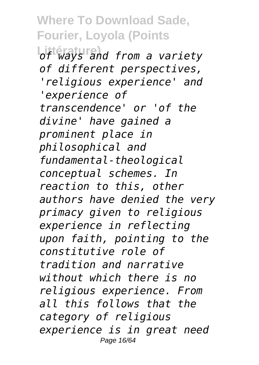**Littérature)** *of ways and from a variety of different perspectives, 'religious experience' and 'experience of transcendence' or 'of the divine' have gained a prominent place in philosophical and fundamental-theological conceptual schemes. In reaction to this, other authors have denied the very primacy given to religious experience in reflecting upon faith, pointing to the constitutive role of tradition and narrative without which there is no religious experience. From all this follows that the category of religious experience is in great need* Page 16/64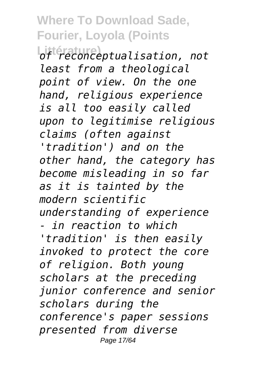**Littérature)** *of reconceptualisation, not least from a theological point of view. On the one hand, religious experience is all too easily called upon to legitimise religious claims (often against 'tradition') and on the other hand, the category has become misleading in so far as it is tainted by the modern scientific understanding of experience - in reaction to which 'tradition' is then easily invoked to protect the core of religion. Both young scholars at the preceding junior conference and senior scholars during the conference's paper sessions presented from diverse* Page 17/64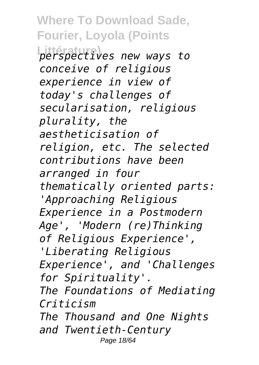**Littérature)** *perspectives new ways to conceive of religious experience in view of today's challenges of secularisation, religious plurality, the aestheticisation of religion, etc. The selected contributions have been arranged in four thematically oriented parts: 'Approaching Religious Experience in a Postmodern Age', 'Modern (re)Thinking of Religious Experience', 'Liberating Religious Experience', and 'Challenges for Spirituality'. The Foundations of Mediating Criticism The Thousand and One Nights and Twentieth-Century*

Page 18/64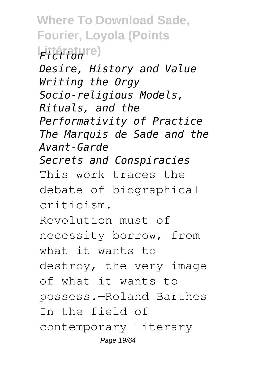**Where To Download Sade, Fourier, Loyola (Points Littérature)** *Fiction Desire, History and Value Writing the Orgy Socio-religious Models, Rituals, and the Performativity of Practice The Marquis de Sade and the Avant-Garde Secrets and Conspiracies* This work traces the debate of biographical criticism. Revolution must of necessity borrow, from what it wants to destroy, the very image of what it wants to possess.—Roland Barthes In the field of contemporary literary Page 19/64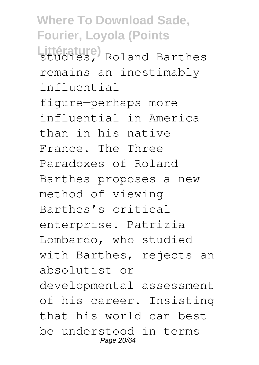**Where To Download Sade, Fourier, Loyola (Points** Littérature)<br>studies, Roland Barthes remains an inestimably influential figure—perhaps more influential in America than in his native France. The Three Paradoxes of Roland Barthes proposes a new method of viewing Barthes's critical enterprise. Patrizia Lombardo, who studied with Barthes, rejects an absolutist or developmental assessment of his career. Insisting that his world can best be understood in terms Page 20/64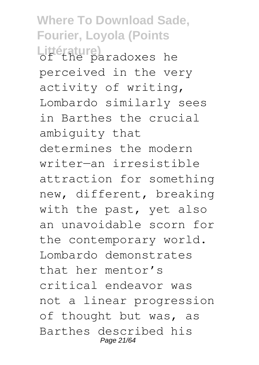**Where To Download Sade, Fourier, Loyola (Points Littérature)** of the paradoxes he perceived in the very activity of writing, Lombardo similarly sees in Barthes the crucial ambiguity that determines the modern writer—an irresistible attraction for something new, different, breaking with the past, yet also an unavoidable scorn for the contemporary world. Lombardo demonstrates that her mentor's critical endeavor was not a linear progression of thought but was, as Barthes described his Page 21/64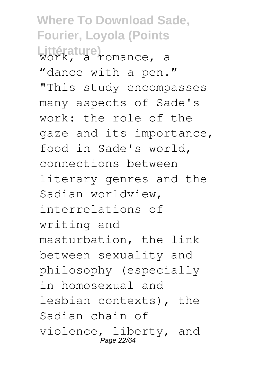**Where To Download Sade, Fourier, Loyola (Points Littérature)** work, a romance, a "dance with a pen." "This study encompasses many aspects of Sade's work: the role of the gaze and its importance, food in Sade's world, connections between literary genres and the Sadian worldview, interrelations of writing and masturbation, the link between sexuality and philosophy (especially in homosexual and lesbian contexts), the Sadian chain of violence, liberty, and .<br>Page 22/64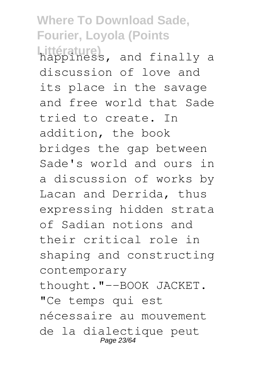**Where To Download Sade, Fourier, Loyola (Points Littérature)** happiness, and finally a discussion of love and its place in the savage and free world that Sade tried to create. In addition, the book bridges the gap between Sade's world and ours in a discussion of works by Lacan and Derrida, thus expressing hidden strata of Sadian notions and their critical role in shaping and constructing contemporary thought."--BOOK JACKET. "Ce temps qui est nécessaire au mouvement de la dialectique peut Page 23/64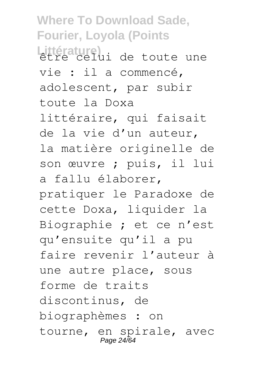**Where To Download Sade, Fourier, Loyola (Points** Littérature)<br>être celui de toute une vie : il a commencé, adolescent, par subir toute la Doxa littéraire, qui faisait de la vie d'un auteur, la matière originelle de son œuvre ; puis, il lui a fallu élaborer, pratiquer le Paradoxe de cette Doxa, liquider la Biographie ; et ce n'est qu'ensuite qu'il a pu faire revenir l'auteur à une autre place, sous forme de traits discontinus, de biographèmes : on tourne, en spirale, avec Page 24/64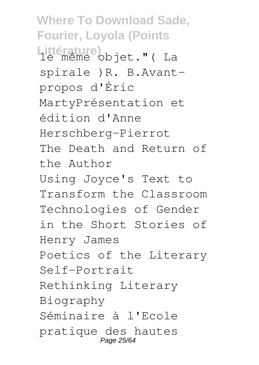**Where To Download Sade, Fourier, Loyola (Points** Littérature)<br>le même objet." (La spirale )R. B.Avantpropos d'Éric MartyPrésentation et édition d'Anne Herschberg-Pierrot The Death and Return of the Author Using Joyce's Text to Transform the Classroom Technologies of Gender in the Short Stories of Henry James Poetics of the Literary Self-Portrait Rethinking Literary Biography Séminaire à l'Ecole pratique des hautes Page 25/64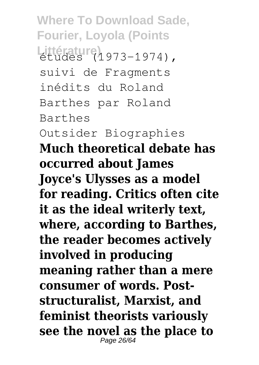**Where To Download Sade, Fourier, Loyola (Points** Littérature)<br>études (1973-1974), suivi de Fragments inédits du Roland Barthes par Roland Barthes Outsider Biographies **Much theoretical debate has occurred about James Joyce's Ulysses as a model for reading. Critics often cite it as the ideal writerly text, where, according to Barthes, the reader becomes actively involved in producing meaning rather than a mere consumer of words. Poststructuralist, Marxist, and feminist theorists variously see the novel as the place to** Page 26/64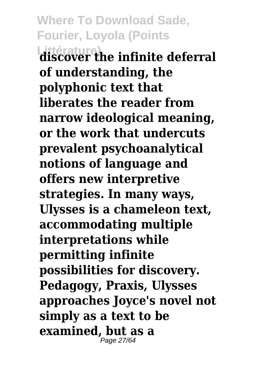**Where To Download Sade, Fourier, Loyola (Points Littérature) discover the infinite deferral of understanding, the polyphonic text that liberates the reader from narrow ideological meaning, or the work that undercuts prevalent psychoanalytical notions of language and offers new interpretive strategies. In many ways, Ulysses is a chameleon text, accommodating multiple interpretations while permitting infinite possibilities for discovery. Pedagogy, Praxis, Ulysses approaches Joyce's novel not simply as a text to be examined, but as a** Page 27/64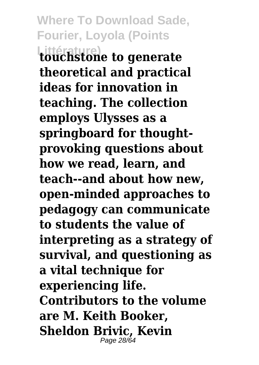**Where To Download Sade, Fourier, Loyola (Points Littérature) touchstone to generate theoretical and practical ideas for innovation in teaching. The collection employs Ulysses as a springboard for thoughtprovoking questions about how we read, learn, and teach--and about how new, open-minded approaches to pedagogy can communicate to students the value of interpreting as a strategy of survival, and questioning as a vital technique for experiencing life. Contributors to the volume are M. Keith Booker, Sheldon Brivic, Kevin** Page 28/64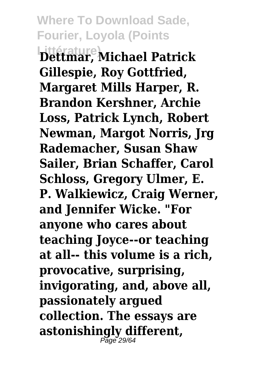**Where To Download Sade, Fourier, Loyola (Points Littérature) Dettmar, Michael Patrick Gillespie, Roy Gottfried, Margaret Mills Harper, R. Brandon Kershner, Archie Loss, Patrick Lynch, Robert Newman, Margot Norris, Jrg Rademacher, Susan Shaw Sailer, Brian Schaffer, Carol Schloss, Gregory Ulmer, E. P. Walkiewicz, Craig Werner, and Jennifer Wicke. "For anyone who cares about teaching Joyce--or teaching at all-- this volume is a rich, provocative, surprising, invigorating, and, above all, passionately argued collection. The essays are astonishingly different,** Page 29/64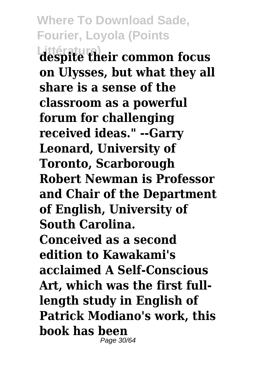**Where To Download Sade, Fourier, Loyola (Points Littérature) despite their common focus on Ulysses, but what they all share is a sense of the classroom as a powerful forum for challenging received ideas." --Garry Leonard, University of Toronto, Scarborough Robert Newman is Professor and Chair of the Department of English, University of South Carolina. Conceived as a second edition to Kawakami's acclaimed A Self-Conscious Art, which was the first fulllength study in English of Patrick Modiano's work, this book has been** Page 30/64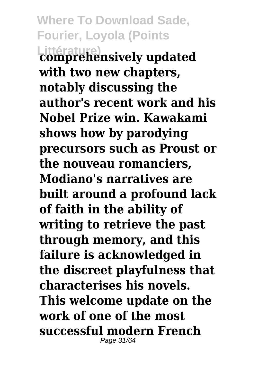**Where To Download Sade, Fourier, Loyola (Points Littérature) comprehensively updated with two new chapters, notably discussing the author's recent work and his Nobel Prize win. Kawakami shows how by parodying precursors such as Proust or the nouveau romanciers, Modiano's narratives are built around a profound lack of faith in the ability of writing to retrieve the past through memory, and this failure is acknowledged in the discreet playfulness that characterises his novels. This welcome update on the work of one of the most successful modern French** Page 31/64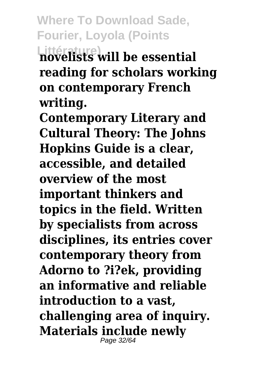**Littérature) novelists will be essential reading for scholars working on contemporary French writing.**

**Contemporary Literary and Cultural Theory: The Johns Hopkins Guide is a clear, accessible, and detailed overview of the most important thinkers and topics in the field. Written by specialists from across disciplines, its entries cover contemporary theory from Adorno to ?i?ek, providing an informative and reliable introduction to a vast, challenging area of inquiry. Materials include newly** Page 32/64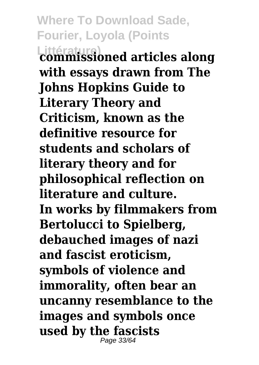**Where To Download Sade, Fourier, Loyola (Points Littérature) commissioned articles along with essays drawn from The Johns Hopkins Guide to Literary Theory and Criticism, known as the definitive resource for students and scholars of literary theory and for philosophical reflection on literature and culture. In works by filmmakers from Bertolucci to Spielberg, debauched images of nazi and fascist eroticism, symbols of violence and immorality, often bear an uncanny resemblance to the images and symbols once used by the fascists** Page 33/64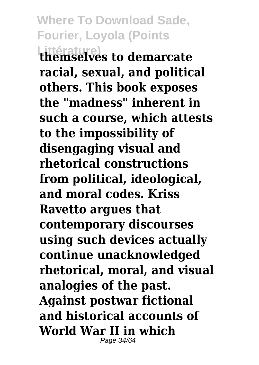**Littérature) themselves to demarcate racial, sexual, and political others. This book exposes the "madness" inherent in such a course, which attests to the impossibility of disengaging visual and rhetorical constructions from political, ideological, and moral codes. Kriss Ravetto argues that contemporary discourses using such devices actually continue unacknowledged rhetorical, moral, and visual analogies of the past. Against postwar fictional and historical accounts of World War II in which** Page 34/64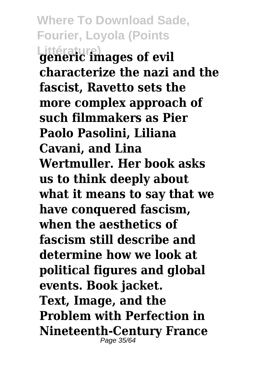**Where To Download Sade, Fourier, Loyola (Points Littérature) generic images of evil characterize the nazi and the fascist, Ravetto sets the more complex approach of such filmmakers as Pier Paolo Pasolini, Liliana Cavani, and Lina Wertmuller. Her book asks us to think deeply about what it means to say that we have conquered fascism, when the aesthetics of fascism still describe and determine how we look at political figures and global events. Book jacket. Text, Image, and the Problem with Perfection in Nineteenth-Century France** Page 35/64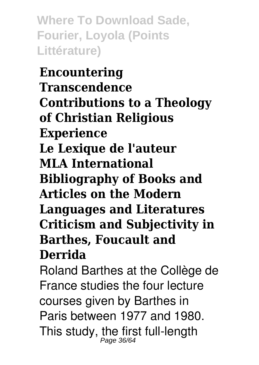**Where To Download Sade, Fourier, Loyola (Points Littérature)**

**Encountering Transcendence Contributions to a Theology of Christian Religious Experience Le Lexique de l'auteur MLA International Bibliography of Books and Articles on the Modern Languages and Literatures Criticism and Subjectivity in Barthes, Foucault and Derrida**

Roland Barthes at the Collège de France studies the four lecture courses given by Barthes in Paris between 1977 and 1980. This study, the first full-length<br> $\frac{P_{\text{age 36/64}}}{P_{\text{age 36/64}}}$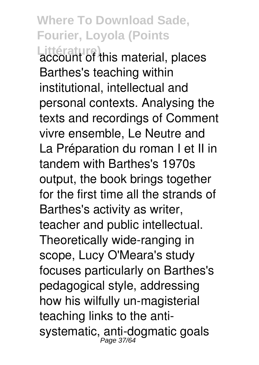**Littérature)** account of this material, places Barthes's teaching within institutional, intellectual and personal contexts. Analysing the texts and recordings of Comment vivre ensemble, Le Neutre and La Préparation du roman I et II in tandem with Barthes's 1970s output, the book brings together for the first time all the strands of Barthes's activity as writer, teacher and public intellectual. Theoretically wide-ranging in scope, Lucy O'Meara's study focuses particularly on Barthes's pedagogical style, addressing how his wilfully un-magisterial teaching links to the antisystematic, anti-dogmatic goals<br>*Page 37/64*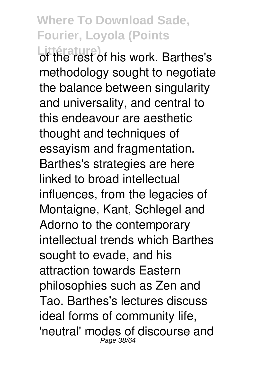Littérature)<br>of the rest of his work. Barthes's methodology sought to negotiate the balance between singularity and universality, and central to this endeavour are aesthetic thought and techniques of essayism and fragmentation. Barthes's strategies are here linked to broad intellectual influences, from the legacies of Montaigne, Kant, Schlegel and Adorno to the contemporary intellectual trends which Barthes sought to evade, and his attraction towards Eastern philosophies such as Zen and Tao. Barthes's lectures discuss ideal forms of community life, 'neutral' modes of discourse and Page 38/64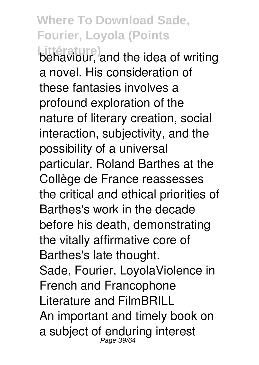**Littérature)** behaviour, and the idea of writing a novel. His consideration of these fantasies involves a profound exploration of the nature of literary creation, social interaction, subjectivity, and the possibility of a universal particular. Roland Barthes at the Collège de France reassesses the critical and ethical priorities of Barthes's work in the decade before his death, demonstrating the vitally affirmative core of Barthes's late thought. Sade, Fourier, LoyolaViolence in French and Francophone Literature and FilmBRILL An important and timely book on a subject of enduring interest<br>Page 39/64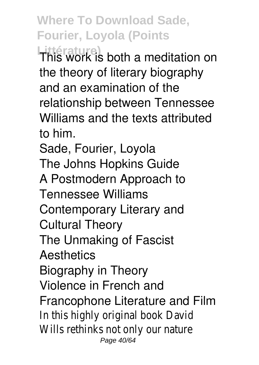**Littérature)** This work is both a meditation on the theory of literary biography and an examination of the relationship between Tennessee Williams and the texts attributed to him.

Sade, Fourier, Loyola The Johns Hopkins Guide A Postmodern Approach to Tennessee Williams Contemporary Literary and Cultural Theory The Unmaking of Fascist **Aesthetics** Biography in Theory Violence in French and Francophone Literature and Film In this highly original book David Wills rethinks not only our nature Page 40/64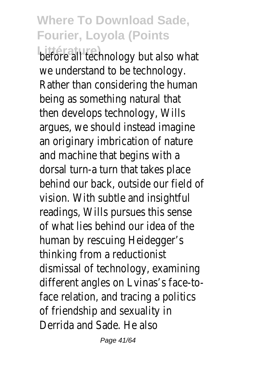**Littérature**<br> **Littérature**<br> **Littérature**<br> **Littérature**<br> **Littérature**<br> **Littérature**<br> **Littérature**<br> **Littérature**<br> **Littérature** we understand to be technology. Rather than considering the human being as something natural that then develops technology, Wills argues, we should instead imagine an originary imbrication of nature and machine that begins with a dorsal turn-a turn that takes place behind our back, outside our field of vision. With subtle and insightful readings, Wills pursues this sense of what lies behind our idea of the human by rescuing Heidegger's thinking from a reductionist dismissal of technology, examining different angles on Lvinas's face-toface relation, and tracing a politics of friendship and sexuality in Derrida and Sade. He also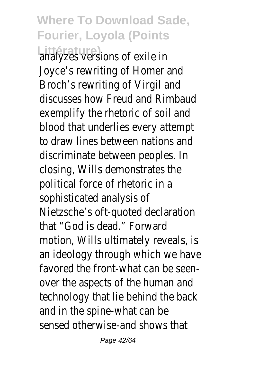**Littérature)** analyzes versions of exile in Joyce's rewriting of Homer and Broch's rewriting of Virgil and discusses how Freud and Rimbaud exemplify the rhetoric of soil and blood that underlies every attempt to draw lines between nations and discriminate between peoples. In closing, Wills demonstrates the political force of rhetoric in a sophisticated analysis of Nietzsche's oft-quoted declaration that "God is dead." Forward motion, Wills ultimately reveals, is an ideology through which we have favored the front-what can be seenover the aspects of the human and technology that lie behind the back and in the spine-what can be sensed otherwise-and shows that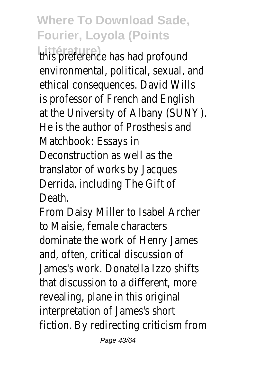**Littérature)**<br>this preference has had profound environmental, political, sexual, and ethical consequences. David Wills is professor of French and English at the University of Albany (SUNY). He is the author of Prosthesis and Matchbook: Essays in Deconstruction as well as the translator of works by Jacques Derrida, including The Gift of Death.

From Daisy Miller to Isabel Archer to Maisie, female characters dominate the work of Henry James and, often, critical discussion of James's work. Donatella Izzo shifts that discussion to a different, more revealing, plane in this original interpretation of James's short fiction. By redirecting criticism from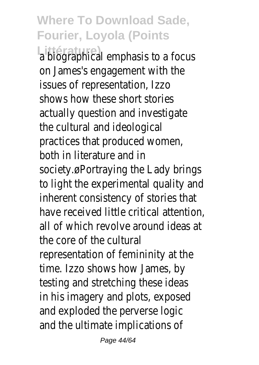**Littérature)** a biographical emphasis to a focus on James's engagement with the issues of representation, Izzo shows how these short stories actually question and investigate the cultural and ideological practices that produced women, both in literature and in society.øPortraying the Lady brings to light the experimental quality and inherent consistency of stories that have received little critical attention, all of which revolve around ideas at the core of the cultural representation of femininity at the time. Izzo shows how James, by testing and stretching these ideas in his imagery and plots, exposed and exploded the perverse logic and the ultimate implications of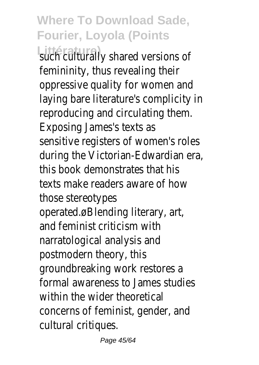Littérature)<br>
such culturally shared versions of femininity, thus revealing their oppressive quality for women and laying bare literature's complicity in reproducing and circulating them. Exposing James's texts as sensitive registers of women's roles during the Victorian-Edwardian era, this book demonstrates that his texts make readers aware of how those stereotypes operated.øBlending literary, art, and feminist criticism with narratological analysis and postmodern theory, this groundbreaking work restores a formal awareness to James studies within the wider theoretical concerns of feminist, gender, and cultural critiques.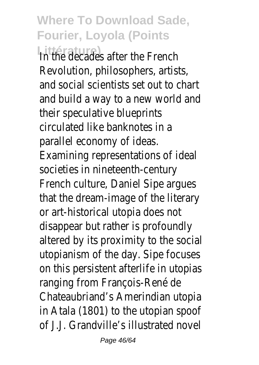**Littérature**<br> **In the decades after the French** Revolution, philosophers, artists, and social scientists set out to chart and build a way to a new world and their speculative blueprints circulated like banknotes in a parallel economy of ideas. Examining representations of ideal societies in nineteenth-century French culture, Daniel Sipe argues that the dream-image of the literary or art-historical utopia does not disappear but rather is profoundly altered by its proximity to the social utopianism of the day. Sipe focuses on this persistent afterlife in utopias ranging from François-René de Chateaubriand's Amerindian utopia in Atala (1801) to the utopian spoof of J.J. Grandville's illustrated novel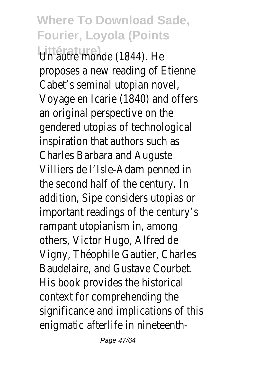**Littérature)** Un autre monde (1844). He proposes a new reading of Etienne Cabet's seminal utopian novel, Voyage en Icarie (1840) and offers an original perspective on the gendered utopias of technological inspiration that authors such as Charles Barbara and Auguste Villiers de l'Isle-Adam penned in the second half of the century. In addition, Sipe considers utopias or important readings of the century's rampant utopianism in, among others, Victor Hugo, Alfred de Vigny, Théophile Gautier, Charles Baudelaire, and Gustave Courbet. His book provides the historical context for comprehending the significance and implications of this enigmatic afterlife in nineteenth-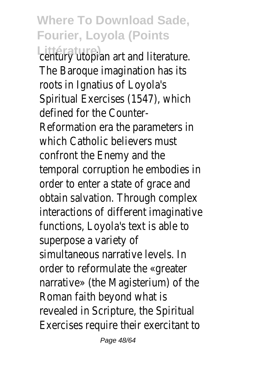**Littérature)** century utopian art and literature. The Baroque imagination has its roots in Ignatius of Loyola's Spiritual Exercises (1547), which defined for the Counter-Reformation era the parameters in which Catholic believers must confront the Enemy and the temporal corruption he embodies in order to enter a state of grace and obtain salvation. Through complex interactions of different imaginative functions, Loyola's text is able to superpose a variety of simultaneous narrative levels. In order to reformulate the «greater narrative» (the Magisterium) of the Roman faith beyond what is revealed in Scripture, the Spiritual Exercises require their exercitant to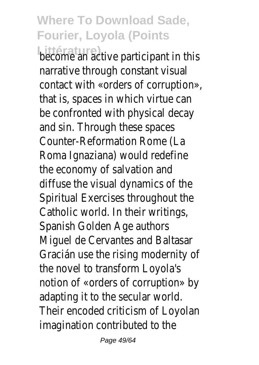**Littérature)** become an active participant in this narrative through constant visual contact with «orders of corruption», that is, spaces in which virtue can be confronted with physical decay and sin. Through these spaces Counter-Reformation Rome (La Roma Ignaziana) would redefine the economy of salvation and diffuse the visual dynamics of the Spiritual Exercises throughout the Catholic world. In their writings, Spanish Golden Age authors Miguel de Cervantes and Baltasar Gracián use the rising modernity of the novel to transform Loyola's notion of «orders of corruption» by adapting it to the secular world. Their encoded criticism of Loyolan imagination contributed to the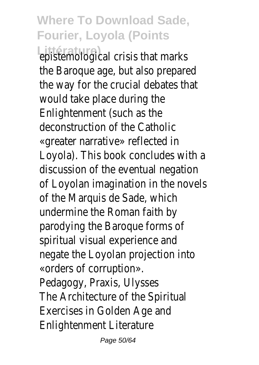**Littérature)** epistemological crisis that marks the Baroque age, but also prepared the way for the crucial debates that would take place during the Enlightenment (such as the deconstruction of the Catholic «greater narrative» reflected in Loyola). This book concludes with a discussion of the eventual negation of Loyolan imagination in the novels of the Marquis de Sade, which undermine the Roman faith by parodying the Baroque forms of spiritual visual experience and negate the Loyolan projection into «orders of corruption». Pedagogy, Praxis, Ulysses The Architecture of the Spiritual Exercises in Golden Age and Enlightenment Literature

Page 50/64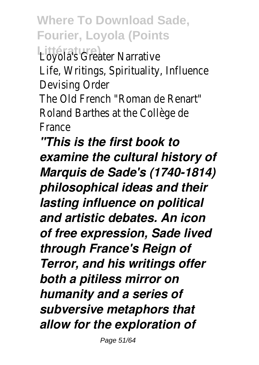**Littérature)** Loyola's Greater Narrative Life, Writings, Spirituality, Influence Devising Order The Old French "Roman de Renart"

Roland Barthes at the Collège de France

*"This is the first book to examine the cultural history of Marquis de Sade's (1740-1814) philosophical ideas and their lasting influence on political and artistic debates. An icon of free expression, Sade lived through France's Reign of Terror, and his writings offer both a pitiless mirror on humanity and a series of subversive metaphors that allow for the exploration of*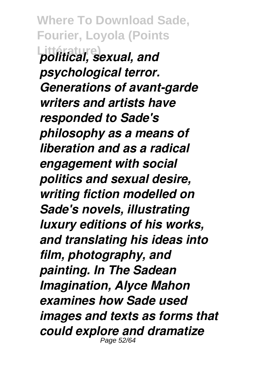**Where To Download Sade, Fourier, Loyola (Points Littérature)** *political, sexual, and psychological terror. Generations of avant-garde writers and artists have responded to Sade's philosophy as a means of liberation and as a radical engagement with social politics and sexual desire, writing fiction modelled on Sade's novels, illustrating luxury editions of his works, and translating his ideas into film, photography, and painting. In The Sadean Imagination, Alyce Mahon examines how Sade used images and texts as forms that could explore and dramatize* Page 52/64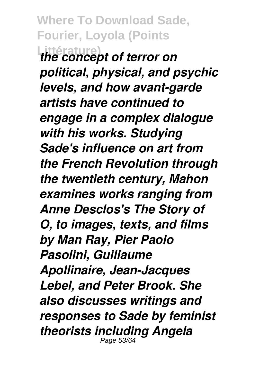**Where To Download Sade, Fourier, Loyola (Points Littérature)** *the concept of terror on political, physical, and psychic levels, and how avant-garde artists have continued to engage in a complex dialogue with his works. Studying Sade's influence on art from the French Revolution through the twentieth century, Mahon examines works ranging from Anne Desclos's The Story of O, to images, texts, and films by Man Ray, Pier Paolo Pasolini, Guillaume Apollinaire, Jean-Jacques Lebel, and Peter Brook. She also discusses writings and responses to Sade by feminist theorists including Angela* Page 53/64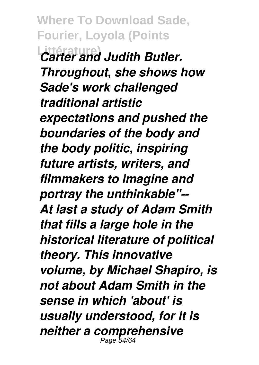**Where To Download Sade, Fourier, Loyola (Points Littérature)** *Carter and Judith Butler. Throughout, she shows how Sade's work challenged traditional artistic expectations and pushed the boundaries of the body and the body politic, inspiring future artists, writers, and filmmakers to imagine and portray the unthinkable"-- At last a study of Adam Smith that fills a large hole in the historical literature of political theory. This innovative volume, by Michael Shapiro, is not about Adam Smith in the sense in which 'about' is usually understood, for it is neither a comprehensive* Page 54/64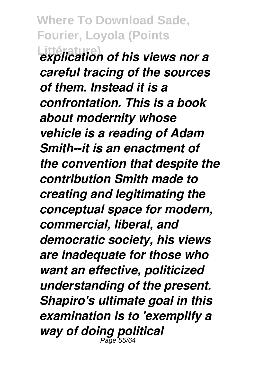**Where To Download Sade, Fourier, Loyola (Points Littérature)** *explication of his views nor a careful tracing of the sources of them. Instead it is a confrontation. This is a book about modernity whose vehicle is a reading of Adam Smith--it is an enactment of the convention that despite the contribution Smith made to creating and legitimating the conceptual space for modern, commercial, liberal, and democratic society, his views are inadequate for those who want an effective, politicized understanding of the present. Shapiro's ultimate goal in this examination is to 'exemplify a way of doing political* Page 55/64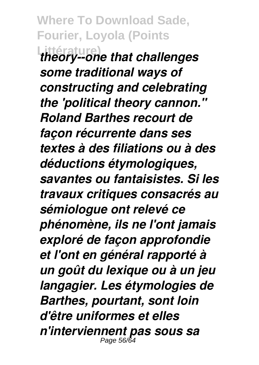**Where To Download Sade, Fourier, Loyola (Points Littérature)** *theory--one that challenges some traditional ways of constructing and celebrating the 'political theory cannon.'' Roland Barthes recourt de façon récurrente dans ses textes à des filiations ou à des déductions étymologiques, savantes ou fantaisistes. Si les travaux critiques consacrés au sémiologue ont relevé ce phénomène, ils ne l'ont jamais exploré de façon approfondie et l'ont en général rapporté à un goût du lexique ou à un jeu langagier. Les étymologies de Barthes, pourtant, sont loin d'être uniformes et elles n'interviennent pas sous sa* Page  $56/6$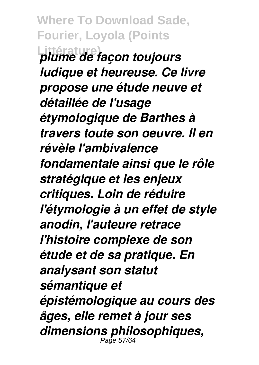**Where To Download Sade, Fourier, Loyola (Points Littérature)** *plume de façon toujours ludique et heureuse. Ce livre propose une étude neuve et détaillée de l'usage étymologique de Barthes à travers toute son oeuvre. Il en révèle l'ambivalence fondamentale ainsi que le rôle stratégique et les enjeux critiques. Loin de réduire l'étymologie à un effet de style anodin, l'auteure retrace l'histoire complexe de son étude et de sa pratique. En analysant son statut sémantique et épistémologique au cours des âges, elle remet à jour ses dimensions philosophiques,* Page 57/64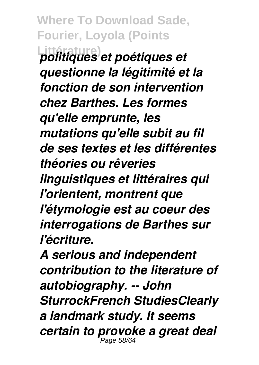**Where To Download Sade, Fourier, Loyola (Points Littérature)** *politiques et poétiques et questionne la légitimité et la fonction de son intervention chez Barthes. Les formes qu'elle emprunte, les mutations qu'elle subit au fil de ses textes et les différentes théories ou rêveries linguistiques et littéraires qui l'orientent, montrent que l'étymologie est au coeur des interrogations de Barthes sur l'écriture.*

*A serious and independent contribution to the literature of autobiography. -- John SturrockFrench StudiesClearly a landmark study. It seems certain to provoke a great deal* Page 58/6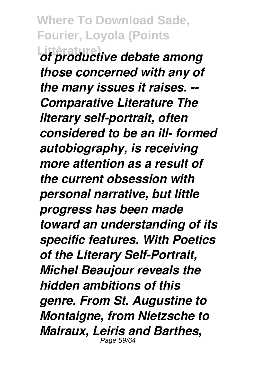**Where To Download Sade, Fourier, Loyola (Points Littérature)** *of productive debate among those concerned with any of the many issues it raises. -- Comparative Literature The literary self-portrait, often considered to be an ill- formed autobiography, is receiving more attention as a result of the current obsession with personal narrative, but little progress has been made toward an understanding of its specific features. With Poetics of the Literary Self-Portrait, Michel Beaujour reveals the hidden ambitions of this genre. From St. Augustine to Montaigne, from Nietzsche to Malraux, Leiris and Barthes,* Page 59/64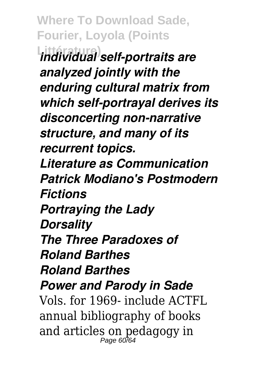**Where To Download Sade, Fourier, Loyola (Points Littérature)** *individual self-portraits are analyzed jointly with the enduring cultural matrix from which self-portrayal derives its disconcerting non-narrative structure, and many of its recurrent topics. Literature as Communication Patrick Modiano's Postmodern Fictions Portraying the Lady Dorsality The Three Paradoxes of Roland Barthes Roland Barthes Power and Parody in Sade* Vols. for 1969- include ACTFL annual bibliography of books and articles on pedagogy in Page 60/6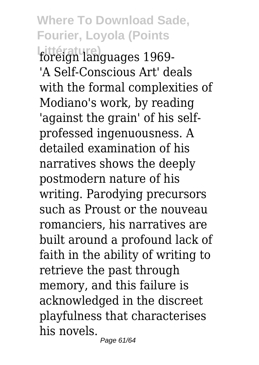#### **Where To Download Sade, Fourier, Loyola (Points Littérature)** foreign languages 1969- 'A Self-Conscious Art' deals with the formal complexities of Modiano's work, by reading 'against the grain' of his selfprofessed ingenuousness. A detailed examination of his narratives shows the deeply postmodern nature of his writing. Parodying precursors such as Proust or the nouveau romanciers, his narratives are built around a profound lack of faith in the ability of writing to retrieve the past through memory, and this failure is acknowledged in the discreet playfulness that characterises his novels. Page 61/64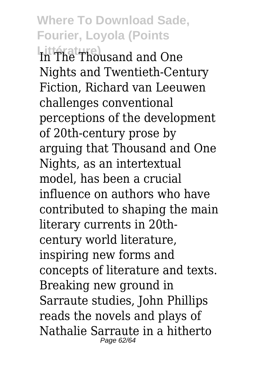**Littérature)** In The Thousand and One Nights and Twentieth-Century Fiction, Richard van Leeuwen challenges conventional perceptions of the development of 20th-century prose by arguing that Thousand and One Nights, as an intertextual model, has been a crucial influence on authors who have contributed to shaping the main literary currents in 20thcentury world literature, inspiring new forms and concepts of literature and texts. Breaking new ground in Sarraute studies, John Phillips reads the novels and plays of Nathalie Sarraute in a hitherto Page 62/64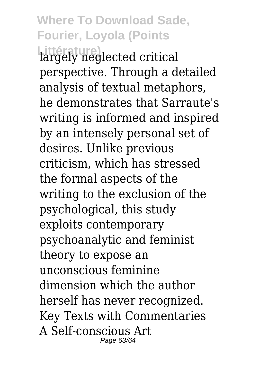**Littérature)** largely neglected critical perspective. Through a detailed analysis of textual metaphors, he demonstrates that Sarraute's writing is informed and inspired by an intensely personal set of desires. Unlike previous criticism, which has stressed the formal aspects of the writing to the exclusion of the psychological, this study exploits contemporary psychoanalytic and feminist theory to expose an unconscious feminine dimension which the author herself has never recognized. Key Texts with Commentaries A Self-conscious Art Page 63/64